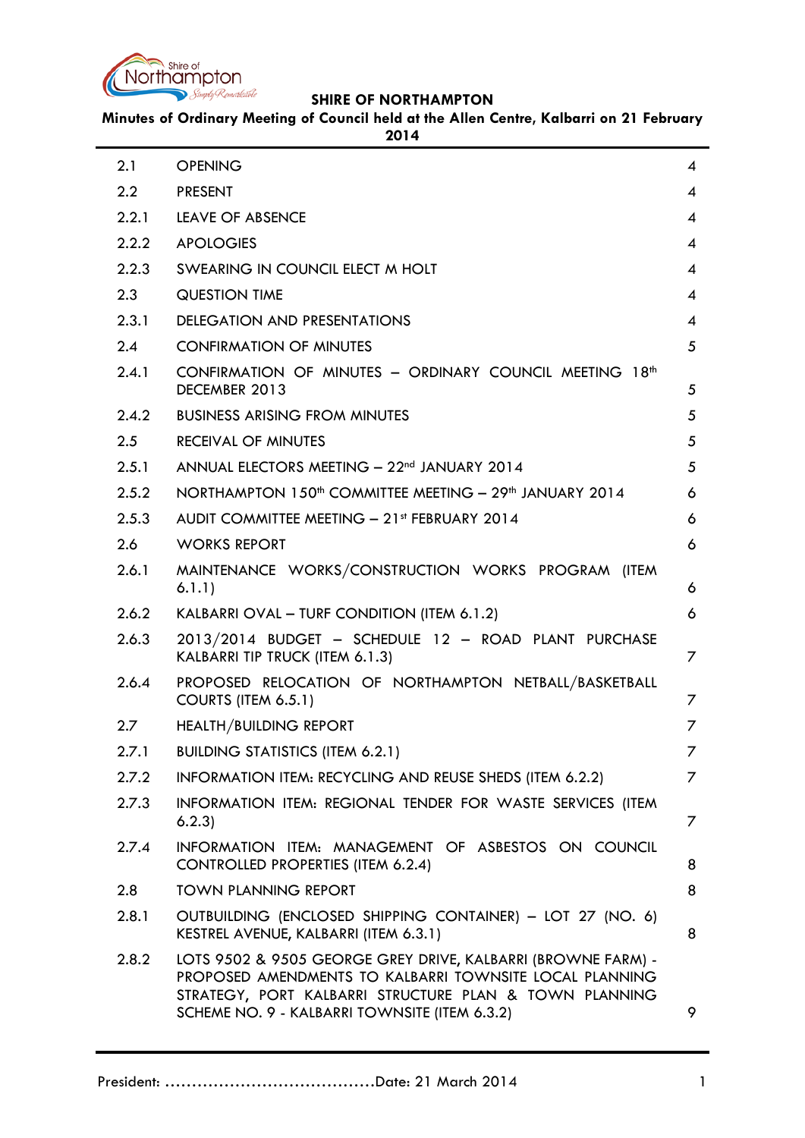

**Minutes of Ordinary Meeting of Council held at the Allen Centre, Kalbarri on 21 February** 

**2014**

| 2.1   | <b>OPENING</b>                                                                                                                                                                                                                     | 4 |
|-------|------------------------------------------------------------------------------------------------------------------------------------------------------------------------------------------------------------------------------------|---|
| 2.2   | <b>PRESENT</b>                                                                                                                                                                                                                     | 4 |
| 2.2.1 | <b>LEAVE OF ABSENCE</b>                                                                                                                                                                                                            | 4 |
| 2.2.2 | <b>APOLOGIES</b>                                                                                                                                                                                                                   | 4 |
| 2.2.3 | SWEARING IN COUNCIL ELECT M HOLT                                                                                                                                                                                                   | 4 |
| 2.3   | <b>QUESTION TIME</b>                                                                                                                                                                                                               | 4 |
| 2.3.1 | <b>DELEGATION AND PRESENTATIONS</b>                                                                                                                                                                                                | 4 |
| 2.4   | <b>CONFIRMATION OF MINUTES</b>                                                                                                                                                                                                     | 5 |
| 2.4.1 | CONFIRMATION OF MINUTES - ORDINARY COUNCIL MEETING 18 <sup>th</sup><br>DECEMBER 2013                                                                                                                                               | 5 |
| 2.4.2 | <b>BUSINESS ARISING FROM MINUTES</b>                                                                                                                                                                                               | 5 |
| 2.5   | <b>RECEIVAL OF MINUTES</b>                                                                                                                                                                                                         | 5 |
| 2.5.1 | ANNUAL ELECTORS MEETING - 22 <sup>nd</sup> JANUARY 2014                                                                                                                                                                            | 5 |
| 2.5.2 | NORTHAMPTON 150 <sup>th</sup> COMMITTEE MEETING - 29 <sup>th</sup> JANUARY 2014                                                                                                                                                    | 6 |
| 2.5.3 | AUDIT COMMITTEE MEETING - 21st FEBRUARY 2014                                                                                                                                                                                       | 6 |
| 2.6   | <b>WORKS REPORT</b>                                                                                                                                                                                                                | 6 |
| 2.6.1 | MAINTENANCE WORKS/CONSTRUCTION WORKS PROGRAM (ITEM<br>6.1.1)                                                                                                                                                                       | 6 |
| 2.6.2 | KALBARRI OVAL - TURF CONDITION (ITEM 6.1.2)                                                                                                                                                                                        | 6 |
| 2.6.3 | 2013/2014 BUDGET - SCHEDULE 12 - ROAD PLANT PURCHASE<br>KALBARRI TIP TRUCK (ITEM 6.1.3)                                                                                                                                            | 7 |
| 2.6.4 | PROPOSED RELOCATION OF NORTHAMPTON NETBALL/BASKETBALL<br>COURTS (ITEM 6.5.1)                                                                                                                                                       | 7 |
| 2.7   | <b>HEALTH/BUILDING REPORT</b>                                                                                                                                                                                                      | 7 |
| 2.7.1 | <b>BUILDING STATISTICS (ITEM 6.2.1)</b>                                                                                                                                                                                            | 7 |
| 2.7.2 | INFORMATION ITEM: RECYCLING AND REUSE SHEDS (ITEM 6.2.2)                                                                                                                                                                           | 7 |
| 2.7.3 | INFORMATION ITEM: REGIONAL TENDER FOR WASTE SERVICES (ITEM<br>6.2.3                                                                                                                                                                | 7 |
| 2.7.4 | INFORMATION ITEM: MANAGEMENT OF ASBESTOS ON COUNCIL<br><b>CONTROLLED PROPERTIES (ITEM 6.2.4)</b>                                                                                                                                   | 8 |
| 2.8   | <b>TOWN PLANNING REPORT</b>                                                                                                                                                                                                        | 8 |
| 2.8.1 | OUTBUILDING (ENCLOSED SHIPPING CONTAINER) - LOT 27 (NO. 6)<br>KESTREL AVENUE, KALBARRI (ITEM 6.3.1)                                                                                                                                | 8 |
| 2.8.2 | LOTS 9502 & 9505 GEORGE GREY DRIVE, KALBARRI (BROWNE FARM) -<br>PROPOSED AMENDMENTS TO KALBARRI TOWNSITE LOCAL PLANNING<br>STRATEGY, PORT KALBARRI STRUCTURE PLAN & TOWN PLANNING<br>SCHEME NO. 9 - KALBARRI TOWNSITE (ITEM 6.3.2) | 9 |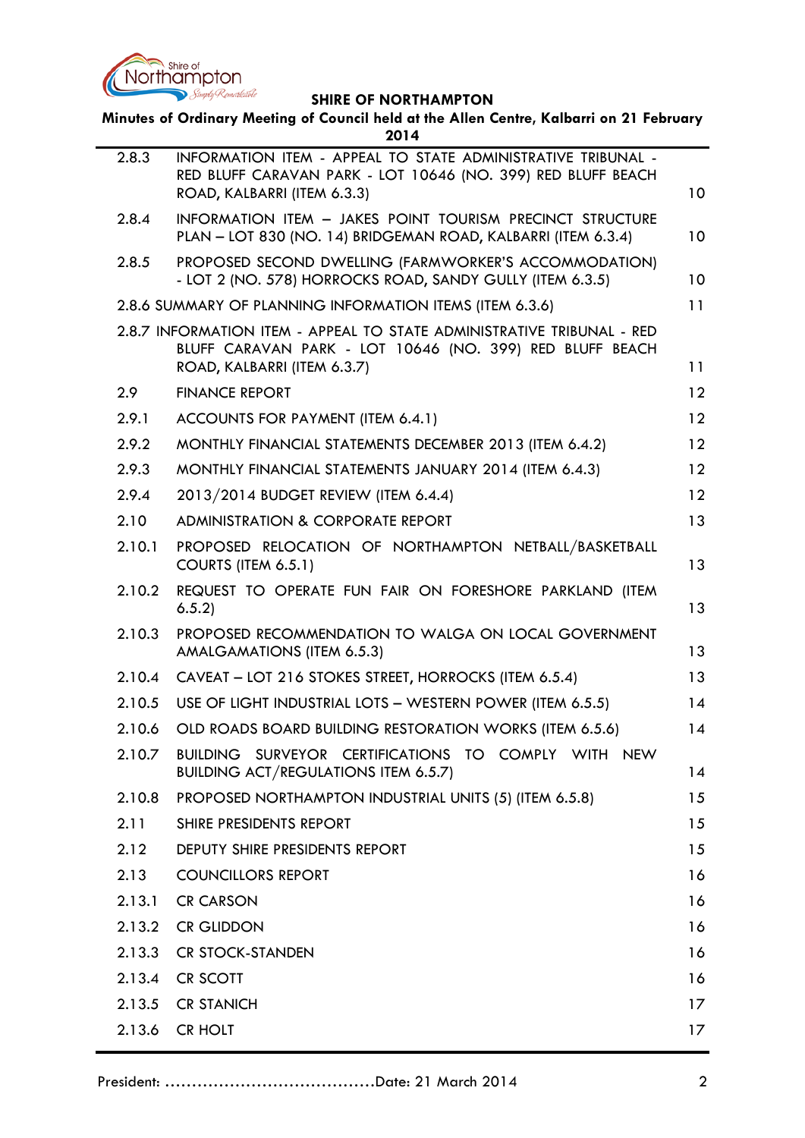

| Minutes of Ordinary Meeting of Council held at the Allen Centre, Kalbarri on 21 February<br>2014 |                                                                                                                                                                   |                 |  |  |  |
|--------------------------------------------------------------------------------------------------|-------------------------------------------------------------------------------------------------------------------------------------------------------------------|-----------------|--|--|--|
| 2.8.3                                                                                            | INFORMATION ITEM - APPEAL TO STATE ADMINISTRATIVE TRIBUNAL -<br>RED BLUFF CARAVAN PARK - LOT 10646 (NO. 399) RED BLUFF BEACH<br>ROAD, KALBARRI (ITEM 6.3.3)       | 10 <sup>°</sup> |  |  |  |
| 2.8.4                                                                                            | INFORMATION ITEM - JAKES POINT TOURISM PRECINCT STRUCTURE<br>PLAN - LOT 830 (NO. 14) BRIDGEMAN ROAD, KALBARRI (ITEM 6.3.4)                                        | 10              |  |  |  |
| 2.8.5                                                                                            | PROPOSED SECOND DWELLING (FARMWORKER'S ACCOMMODATION)<br>- LOT 2 (NO. 578) HORROCKS ROAD, SANDY GULLY (ITEM 6.3.5)                                                | 10              |  |  |  |
|                                                                                                  | 2.8.6 SUMMARY OF PLANNING INFORMATION ITEMS (ITEM 6.3.6)                                                                                                          | 11              |  |  |  |
|                                                                                                  | 2.8.7 INFORMATION ITEM - APPEAL TO STATE ADMINISTRATIVE TRIBUNAL - RED<br>BLUFF CARAVAN PARK - LOT 10646 (NO. 399) RED BLUFF BEACH<br>ROAD, KALBARRI (ITEM 6.3.7) | 11              |  |  |  |
| 2.9                                                                                              | <b>FINANCE REPORT</b>                                                                                                                                             | 12              |  |  |  |
| 2.9.1                                                                                            | ACCOUNTS FOR PAYMENT (ITEM 6.4.1)                                                                                                                                 | 12              |  |  |  |
| 2.9.2                                                                                            | MONTHLY FINANCIAL STATEMENTS DECEMBER 2013 (ITEM 6.4.2)                                                                                                           | 12              |  |  |  |
| 2.9.3                                                                                            | MONTHLY FINANCIAL STATEMENTS JANUARY 2014 (ITEM 6.4.3)                                                                                                            | 12              |  |  |  |
| 2.9.4                                                                                            | 2013/2014 BUDGET REVIEW (ITEM 6.4.4)                                                                                                                              | 12              |  |  |  |
| 2.10                                                                                             | <b>ADMINISTRATION &amp; CORPORATE REPORT</b>                                                                                                                      | 13              |  |  |  |
| 2.10.1                                                                                           | PROPOSED RELOCATION OF NORTHAMPTON NETBALL/BASKETBALL<br>COURTS (ITEM 6.5.1)                                                                                      | 13              |  |  |  |
| 2.10.2                                                                                           | REQUEST TO OPERATE FUN FAIR ON FORESHORE PARKLAND (ITEM<br>6.5.2                                                                                                  | 13              |  |  |  |
| 2.10.3                                                                                           | PROPOSED RECOMMENDATION TO WALGA ON LOCAL GOVERNMENT<br>AMALGAMATIONS (ITEM 6.5.3)                                                                                | 13              |  |  |  |
| 2.10.4                                                                                           | CAVEAT - LOT 216 STOKES STREET, HORROCKS (ITEM 6.5.4)                                                                                                             | 13              |  |  |  |
| 2.10.5                                                                                           | USE OF LIGHT INDUSTRIAL LOTS - WESTERN POWER (ITEM 6.5.5)                                                                                                         | 14              |  |  |  |
| 2.10.6                                                                                           | OLD ROADS BOARD BUILDING RESTORATION WORKS (ITEM 6.5.6)                                                                                                           | 14              |  |  |  |
| 2.10.7                                                                                           | BUILDING SURVEYOR CERTIFICATIONS TO COMPLY WITH<br><b>NEW</b><br><b>BUILDING ACT/REGULATIONS ITEM 6.5.7)</b>                                                      | 14              |  |  |  |
| 2.10.8                                                                                           | PROPOSED NORTHAMPTON INDUSTRIAL UNITS (5) (ITEM 6.5.8)                                                                                                            | 15              |  |  |  |
| 2.11                                                                                             | SHIRE PRESIDENTS REPORT                                                                                                                                           | 15              |  |  |  |
| 2.12                                                                                             | DEPUTY SHIRE PRESIDENTS REPORT                                                                                                                                    | 15              |  |  |  |
| 2.13                                                                                             | <b>COUNCILLORS REPORT</b>                                                                                                                                         | 16              |  |  |  |
| 2.13.1                                                                                           | <b>CR CARSON</b>                                                                                                                                                  | 16              |  |  |  |
| 2.13.2                                                                                           | <b>CR GLIDDON</b>                                                                                                                                                 | 16              |  |  |  |
| 2.13.3                                                                                           | <b>CR STOCK-STANDEN</b>                                                                                                                                           | 16              |  |  |  |
| 2.13.4                                                                                           | <b>CR SCOTT</b>                                                                                                                                                   | 16              |  |  |  |
| 2.13.5                                                                                           | <b>CR STANICH</b>                                                                                                                                                 | 17              |  |  |  |
| 2.13.6                                                                                           | <b>CR HOLT</b>                                                                                                                                                    | 17              |  |  |  |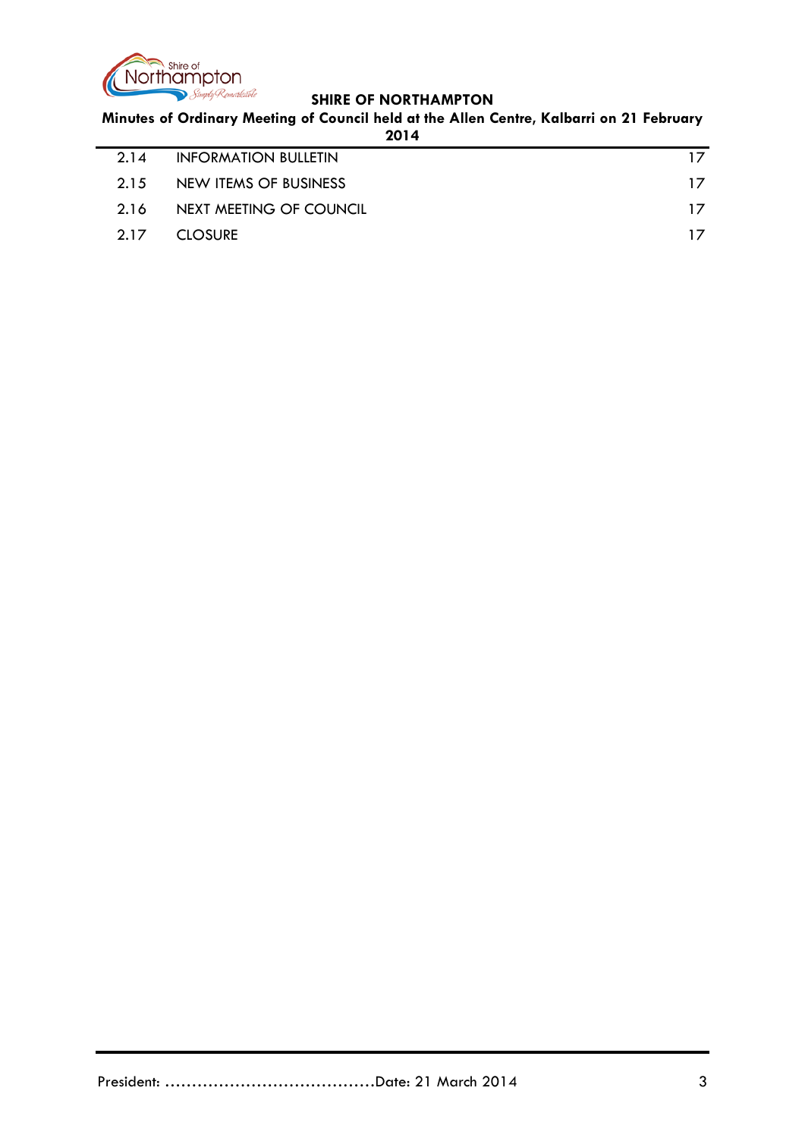

**Minutes of Ordinary Meeting of Council held at the Allen Centre, Kalbarri on 21 February** 

| 2014                        |  |    |  |  |  |
|-----------------------------|--|----|--|--|--|
| <b>INFORMATION BULLETIN</b> |  | 17 |  |  |  |
| NEW ITEMS OF BUSINESS       |  | 17 |  |  |  |
| NEXT MEETING OF COUNCIL     |  | 17 |  |  |  |
| <b>CLOSURE</b>              |  |    |  |  |  |
|                             |  |    |  |  |  |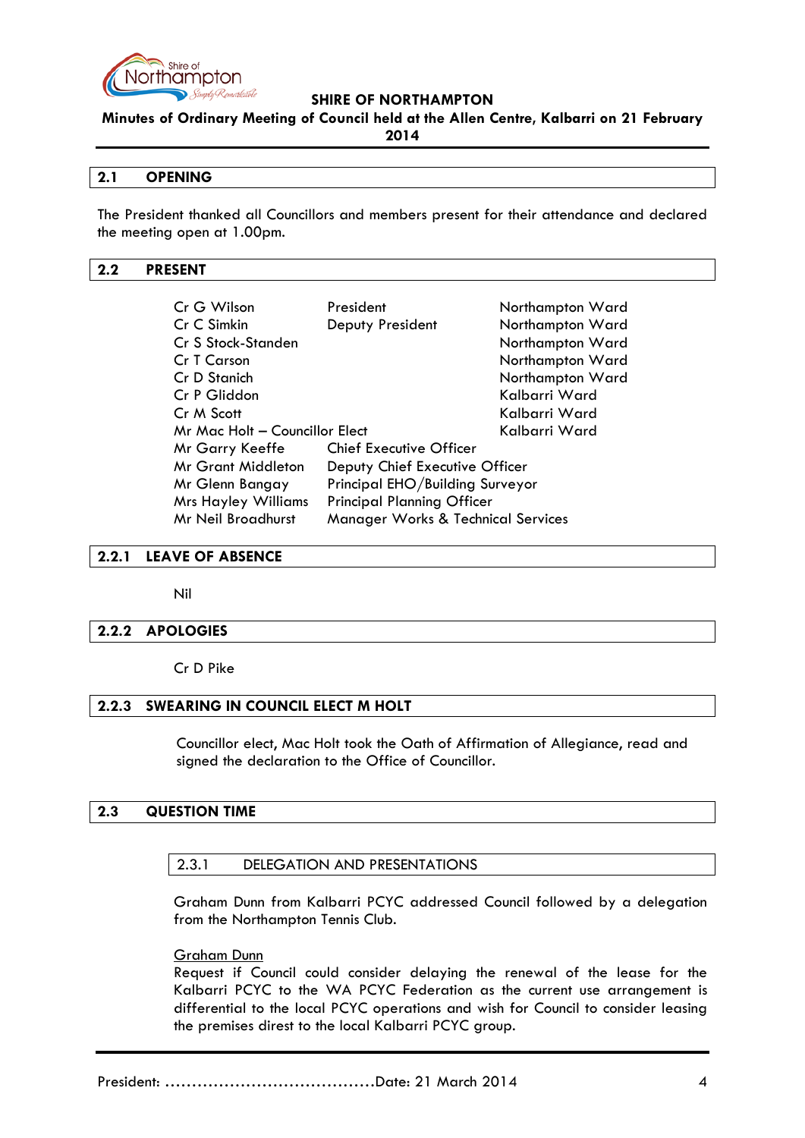

**Minutes of Ordinary Meeting of Council held at the Allen Centre, Kalbarri on 21 February** 

**2014**

### <span id="page-3-0"></span>**2.1 OPENING**

The President thanked all Councillors and members present for their attendance and declared the meeting open at 1.00pm.

### <span id="page-3-1"></span>**2.2 PRESENT**

| Cr G Wilson                                                                | President                         | Northampton Ward |  |
|----------------------------------------------------------------------------|-----------------------------------|------------------|--|
| Cr C Simkin                                                                | Deputy President                  | Northampton Ward |  |
| Cr S Stock-Standen                                                         |                                   | Northampton Ward |  |
| Cr T Carson                                                                |                                   | Northampton Ward |  |
| Cr D Stanich                                                               |                                   | Northampton Ward |  |
| Cr P Gliddon                                                               |                                   | Kalbarri Ward    |  |
| Cr M Scott                                                                 |                                   | Kalbarri Ward    |  |
| Mr Mac Holt - Councillor Elect                                             |                                   | Kalbarri Ward    |  |
| Mr Garry Keeffe                                                            | <b>Chief Executive Officer</b>    |                  |  |
| <b>Mr Grant Middleton</b>                                                  | Deputy Chief Executive Officer    |                  |  |
| Mr Glenn Bangay                                                            | Principal EHO/Building Surveyor   |                  |  |
| <b>Mrs Hayley Williams</b>                                                 | <b>Principal Planning Officer</b> |                  |  |
| <b>Mr Neil Broadhurst</b><br><b>Manager Works &amp; Technical Services</b> |                                   |                  |  |

### <span id="page-3-2"></span>**2.2.1 LEAVE OF ABSENCE**

Nil

### <span id="page-3-3"></span>**2.2.2 APOLOGIES**

Cr D Pike

### <span id="page-3-4"></span>**2.2.3 SWEARING IN COUNCIL ELECT M HOLT**

Councillor elect, Mac Holt took the Oath of Affirmation of Allegiance, read and signed the declaration to the Office of Councillor.

### <span id="page-3-6"></span><span id="page-3-5"></span>**2.3 QUESTION TIME**

### 2.3.1 DELEGATION AND PRESENTATIONS

Graham Dunn from Kalbarri PCYC addressed Council followed by a delegation from the Northampton Tennis Club.

### Graham Dunn

Request if Council could consider delaying the renewal of the lease for the Kalbarri PCYC to the WA PCYC Federation as the current use arrangement is differential to the local PCYC operations and wish for Council to consider leasing the premises direst to the local Kalbarri PCYC group.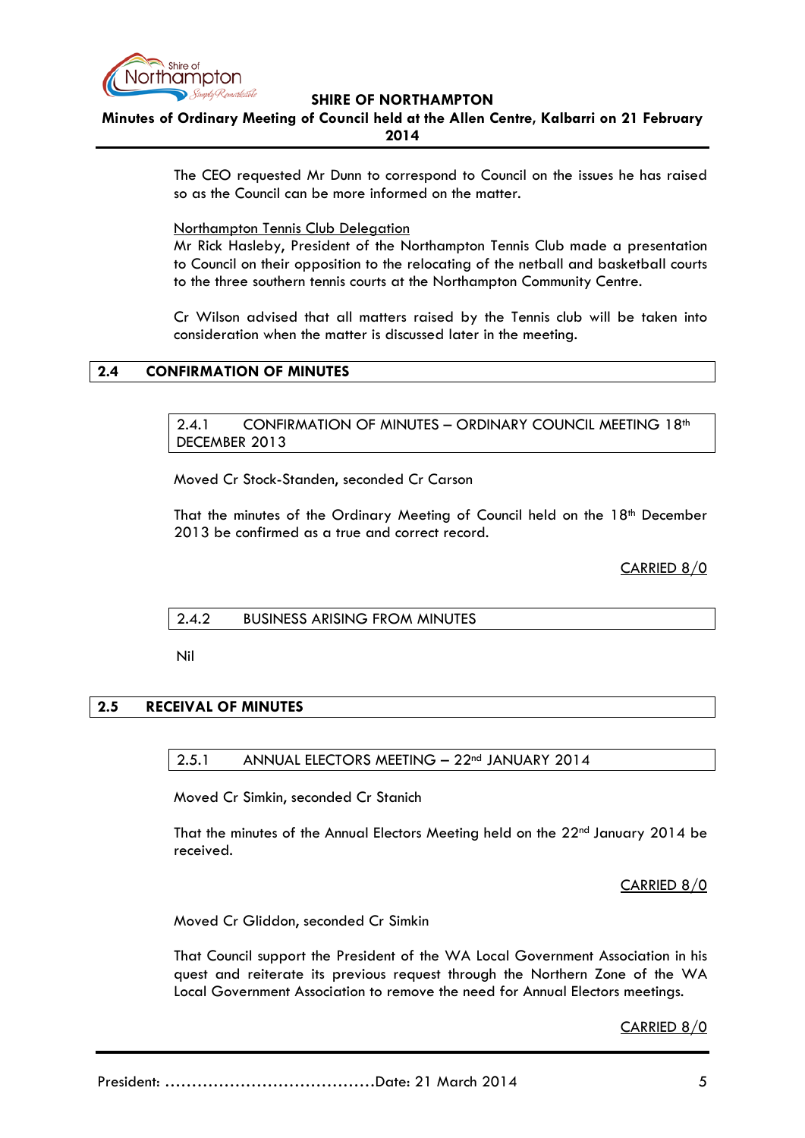

**Minutes of Ordinary Meeting of Council held at the Allen Centre, Kalbarri on 21 February 2014**

> The CEO requested Mr Dunn to correspond to Council on the issues he has raised so as the Council can be more informed on the matter.

Northampton Tennis Club Delegation

Mr Rick Hasleby, President of the Northampton Tennis Club made a presentation to Council on their opposition to the relocating of the netball and basketball courts to the three southern tennis courts at the Northampton Community Centre.

Cr Wilson advised that all matters raised by the Tennis club will be taken into consideration when the matter is discussed later in the meeting.

### <span id="page-4-1"></span><span id="page-4-0"></span>**2.4 CONFIRMATION OF MINUTES**

2.4.1 CONFIRMATION OF MINUTES - ORDINARY COUNCIL MEETING 18<sup>th</sup> DECEMBER 2013

Moved Cr Stock-Standen, seconded Cr Carson

That the minutes of the Ordinary Meeting of Council held on the 18<sup>th</sup> December 2013 be confirmed as a true and correct record.

CARRIED 8/0

### <span id="page-4-2"></span>2.4.2 BUSINESS ARISING FROM MINUTES

Nil

### <span id="page-4-4"></span><span id="page-4-3"></span>**2.5 RECEIVAL OF MINUTES**

#### 2.5.1 ANNUAL ELECTORS MEETING - 22<sup>nd</sup> JANUARY 2014

Moved Cr Simkin, seconded Cr Stanich

That the minutes of the Annual Electors Meeting held on the 22<sup>nd</sup> January 2014 be received.

CARRIED 8/0

Moved Cr Gliddon, seconded Cr Simkin

That Council support the President of the WA Local Government Association in his quest and reiterate its previous request through the Northern Zone of the WA Local Government Association to remove the need for Annual Electors meetings.

CARRIED 8/0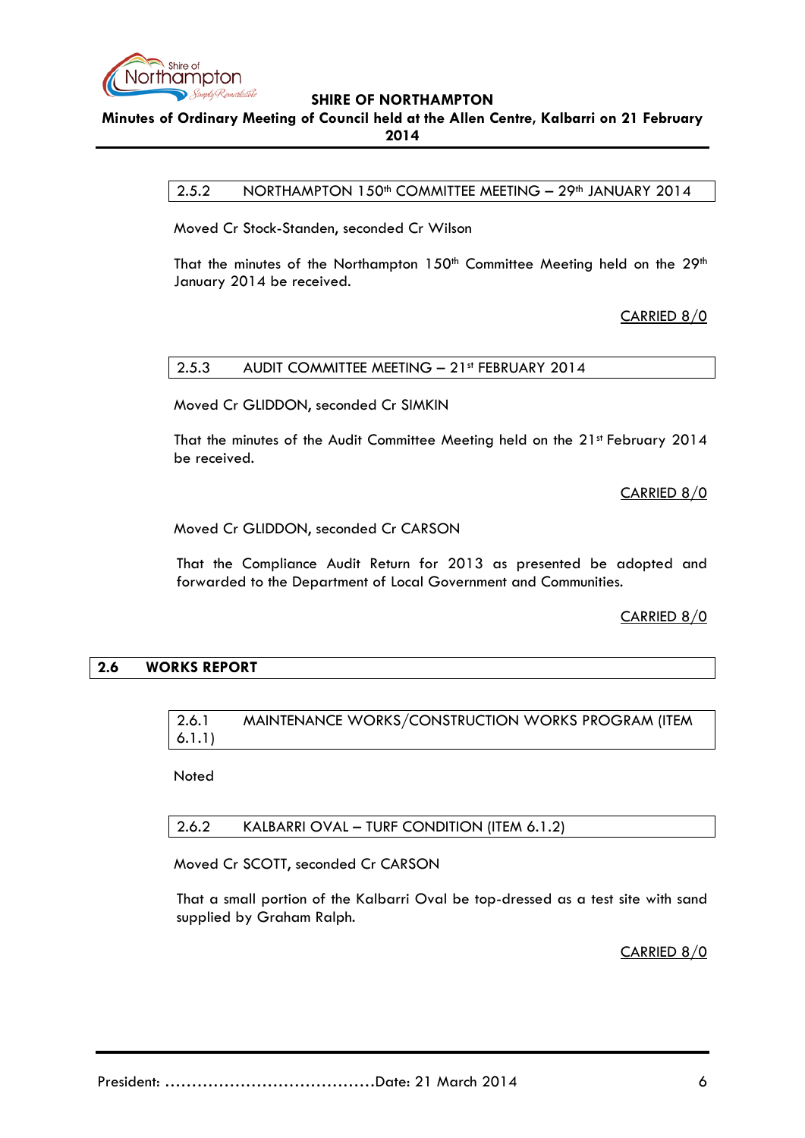

# <span id="page-5-0"></span>**Minutes of Ordinary Meeting of Council held at the Allen Centre, Kalbarri on 21 February 2014**

2.5.2 NORTHAMPTON 150<sup>th</sup> COMMITTEE MEETING - 29<sup>th</sup> JANUARY 2014

Moved Cr Stock-Standen, seconded Cr Wilson

That the minutes of the Northampton 150<sup>th</sup> Committee Meeting held on the 29<sup>th</sup> January 2014 be received.

CARRIED 8/0

### <span id="page-5-1"></span>2.5.3 AUDIT COMMITTEE MEETING – 21st FEBRUARY 2014

Moved Cr GLIDDON, seconded Cr SIMKIN

That the minutes of the Audit Committee Meeting held on the 21st February 2014 be received.

CARRIED 8/0

Moved Cr GLIDDON, seconded Cr CARSON

That the Compliance Audit Return for 2013 as presented be adopted and forwarded to the Department of Local Government and Communities.

CARRIED 8/0

### <span id="page-5-3"></span><span id="page-5-2"></span>**2.6 WORKS REPORT**

## 2.6.1 MAINTENANCE WORKS/CONSTRUCTION WORKS PROGRAM (ITEM 6.1.1)

Noted

<span id="page-5-4"></span>2.6.2 KALBARRI OVAL – TURF CONDITION (ITEM 6.1.2)

Moved Cr SCOTT, seconded Cr CARSON

That a small portion of the Kalbarri Oval be top-dressed as a test site with sand supplied by Graham Ralph.

CARRIED 8/0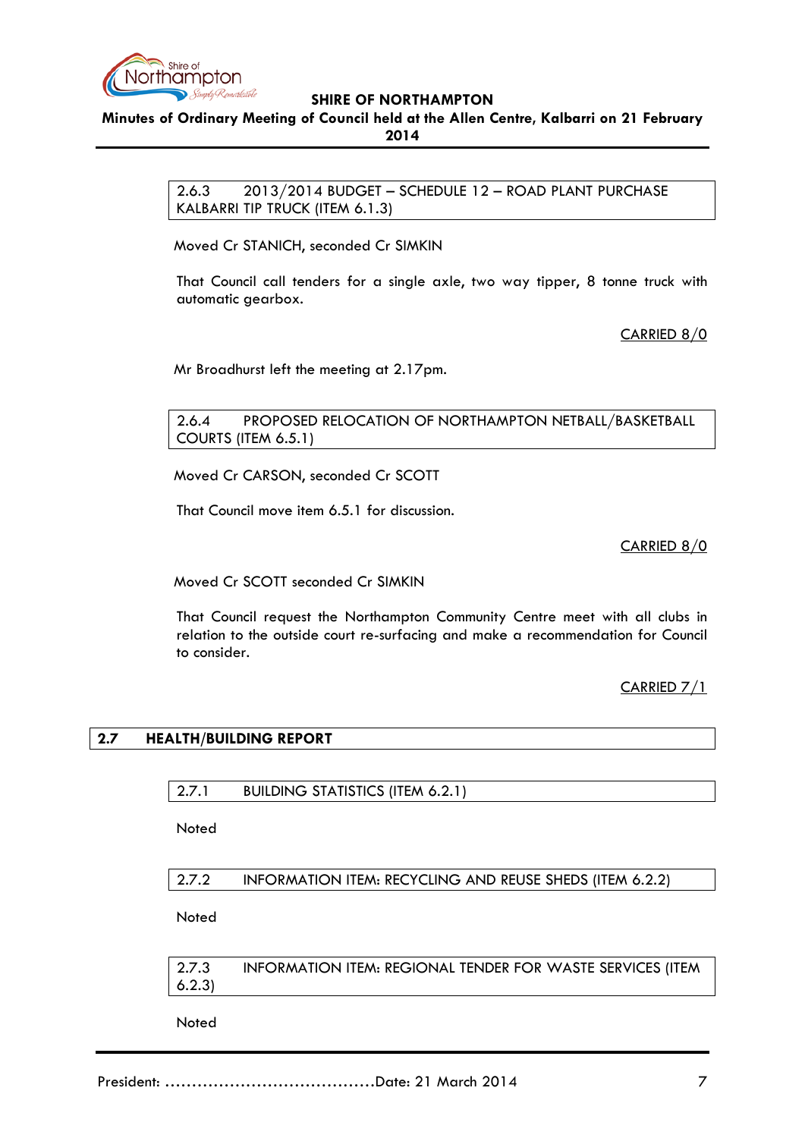

<span id="page-6-0"></span>**Minutes of Ordinary Meeting of Council held at the Allen Centre, Kalbarri on 21 February 2014**

> 2.6.3 2013/2014 BUDGET – SCHEDULE 12 – ROAD PLANT PURCHASE KALBARRI TIP TRUCK (ITEM 6.1.3)

Moved Cr STANICH, seconded Cr SIMKIN

That Council call tenders for a single axle, two way tipper, 8 tonne truck with automatic gearbox.

CARRIED 8/0

Mr Broadhurst left the meeting at 2.17pm.

<span id="page-6-1"></span>2.6.4 PROPOSED RELOCATION OF NORTHAMPTON NETBALL/BASKETBALL COURTS (ITEM 6.5.1)

Moved Cr CARSON, seconded Cr SCOTT

That Council move item 6.5.1 for discussion.

CARRIED 8/0

Moved Cr SCOTT seconded Cr SIMKIN

That Council request the Northampton Community Centre meet with all clubs in relation to the outside court re-surfacing and make a recommendation for Council to consider.

CARRIED 7/1

### <span id="page-6-3"></span><span id="page-6-2"></span>**2.7 HEALTH/BUILDING REPORT**

2.7.1 BUILDING STATISTICS (ITEM 6.2.1)

**Noted** 

<span id="page-6-4"></span>2.7.2 INFORMATION ITEM: RECYCLING AND REUSE SHEDS (ITEM 6.2.2)

**Noted** 

<span id="page-6-5"></span>2.7.3 INFORMATION ITEM: REGIONAL TENDER FOR WASTE SERVICES (ITEM 6.2.3)

**Noted**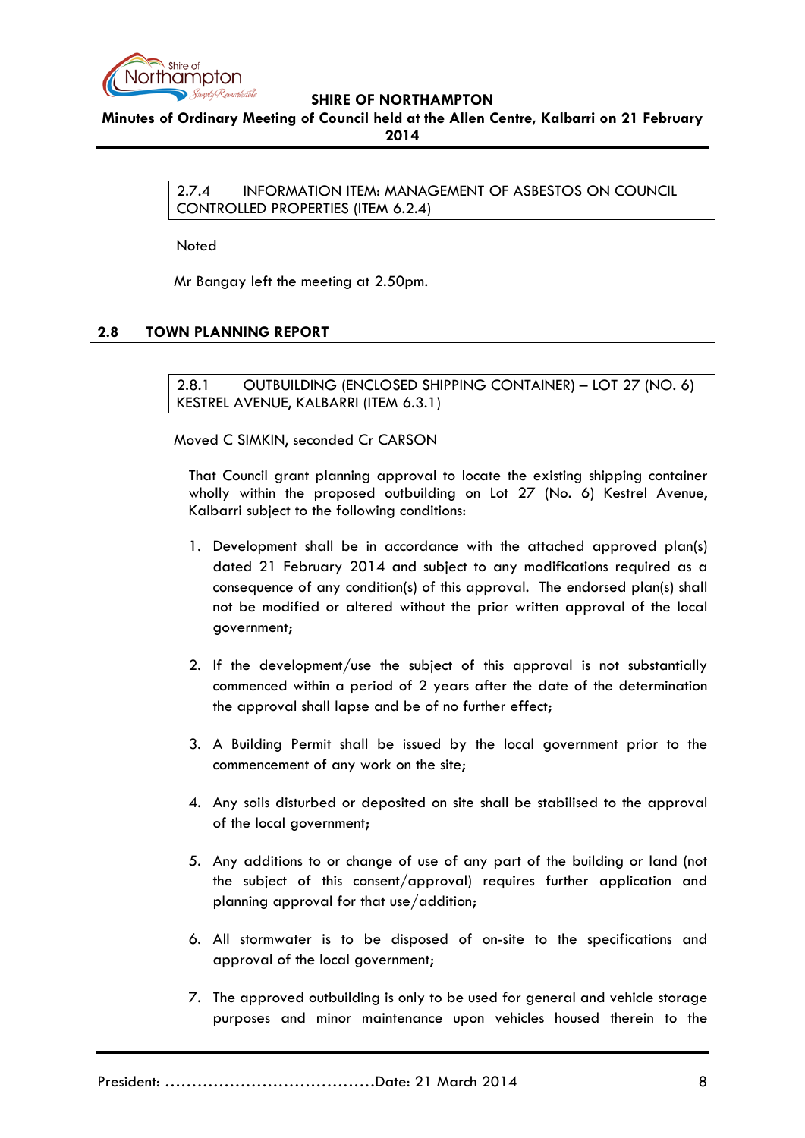

<span id="page-7-0"></span>**Minutes of Ordinary Meeting of Council held at the Allen Centre, Kalbarri on 21 February** 

**2014**

2.7.4 INFORMATION ITEM: MANAGEMENT OF ASBESTOS ON COUNCIL CONTROLLED PROPERTIES (ITEM 6.2.4)

Noted

Mr Bangay left the meeting at 2.50pm.

# <span id="page-7-2"></span><span id="page-7-1"></span>**2.8 TOWN PLANNING REPORT**

2.8.1 OUTBUILDING (ENCLOSED SHIPPING CONTAINER) – LOT 27 (NO. 6) KESTREL AVENUE, KALBARRI (ITEM 6.3.1)

Moved C SIMKIN, seconded Cr CARSON

That Council grant planning approval to locate the existing shipping container wholly within the proposed outbuilding on Lot 27 (No. 6) Kestrel Avenue, Kalbarri subject to the following conditions:

- 1. Development shall be in accordance with the attached approved plan(s) dated 21 February 2014 and subject to any modifications required as a consequence of any condition(s) of this approval. The endorsed plan(s) shall not be modified or altered without the prior written approval of the local government;
- 2. If the development/use the subject of this approval is not substantially commenced within a period of 2 years after the date of the determination the approval shall lapse and be of no further effect;
- 3. A Building Permit shall be issued by the local government prior to the commencement of any work on the site;
- 4. Any soils disturbed or deposited on site shall be stabilised to the approval of the local government;
- 5. Any additions to or change of use of any part of the building or land (not the subject of this consent/approval) requires further application and planning approval for that use/addition;
- 6. All stormwater is to be disposed of on-site to the specifications and approval of the local government;
- 7. The approved outbuilding is only to be used for general and vehicle storage purposes and minor maintenance upon vehicles housed therein to the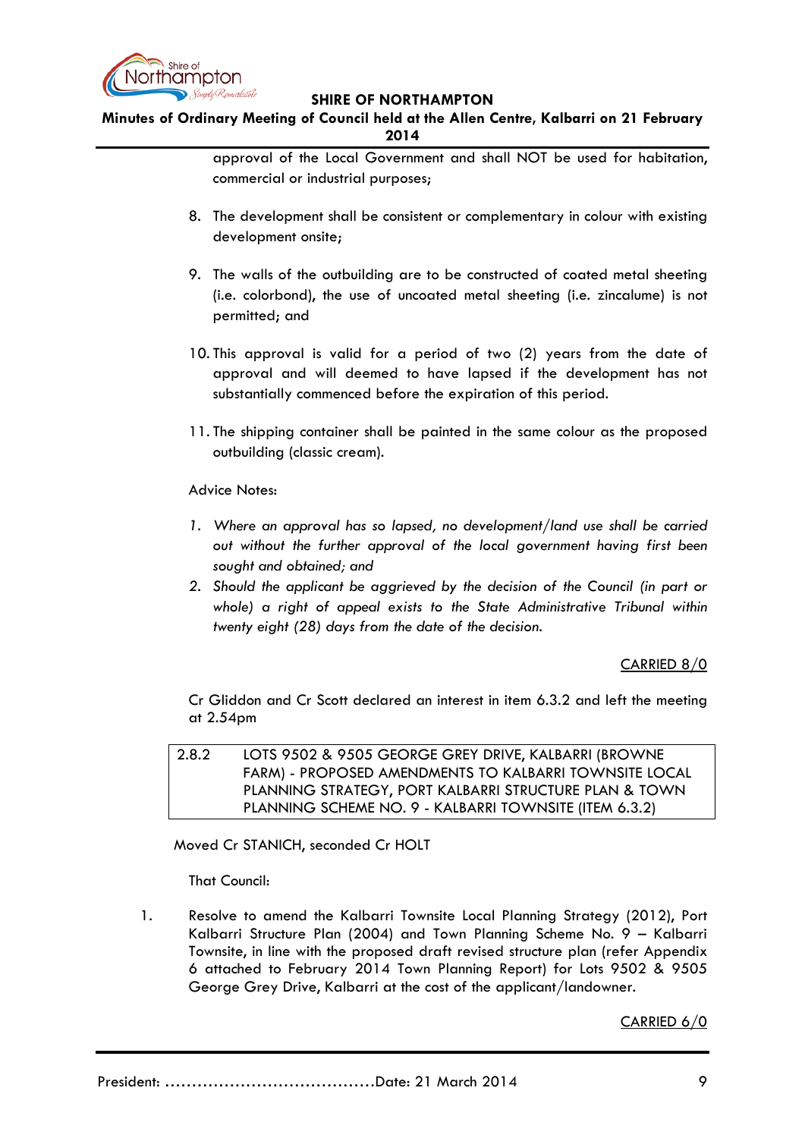

**Minutes of Ordinary Meeting of Council held at the Allen Centre, Kalbarri on 21 February 2014**

> approval of the Local Government and shall NOT be used for habitation, commercial or industrial purposes;

- 8. The development shall be consistent or complementary in colour with existing development onsite;
- 9. The walls of the outbuilding are to be constructed of coated metal sheeting (i.e. colorbond), the use of uncoated metal sheeting (i.e. zincalume) is not permitted; and
- 10. This approval is valid for a period of two (2) years from the date of approval and will deemed to have lapsed if the development has not substantially commenced before the expiration of this period.
- 11. The shipping container shall be painted in the same colour as the proposed outbuilding (classic cream).

Advice Notes:

- *1. Where an approval has so lapsed, no development/land use shall be carried out without the further approval of the local government having first been sought and obtained; and*
- *2. Should the applicant be aggrieved by the decision of the Council (in part or whole) a right of appeal exists to the State Administrative Tribunal within twenty eight (28) days from the date of the decision.*

### CARRIED 8/0

Cr Gliddon and Cr Scott declared an interest in item 6.3.2 and left the meeting at 2.54pm

<span id="page-8-0"></span>2.8.2 LOTS 9502 & 9505 GEORGE GREY DRIVE, KALBARRI (BROWNE FARM) - PROPOSED AMENDMENTS TO KALBARRI TOWNSITE LOCAL PLANNING STRATEGY, PORT KALBARRI STRUCTURE PLAN & TOWN PLANNING SCHEME NO. 9 - KALBARRI TOWNSITE (ITEM 6.3.2)

Moved Cr STANICH, seconded Cr HOLT

That Council:

1. Resolve to amend the Kalbarri Townsite Local Planning Strategy (2012), Port Kalbarri Structure Plan (2004) and Town Planning Scheme No. 9 – Kalbarri Townsite, in line with the proposed draft revised structure plan (refer Appendix 6 attached to February 2014 Town Planning Report) for Lots 9502 & 9505 George Grey Drive, Kalbarri at the cost of the applicant/landowner.

CARRIED 6/0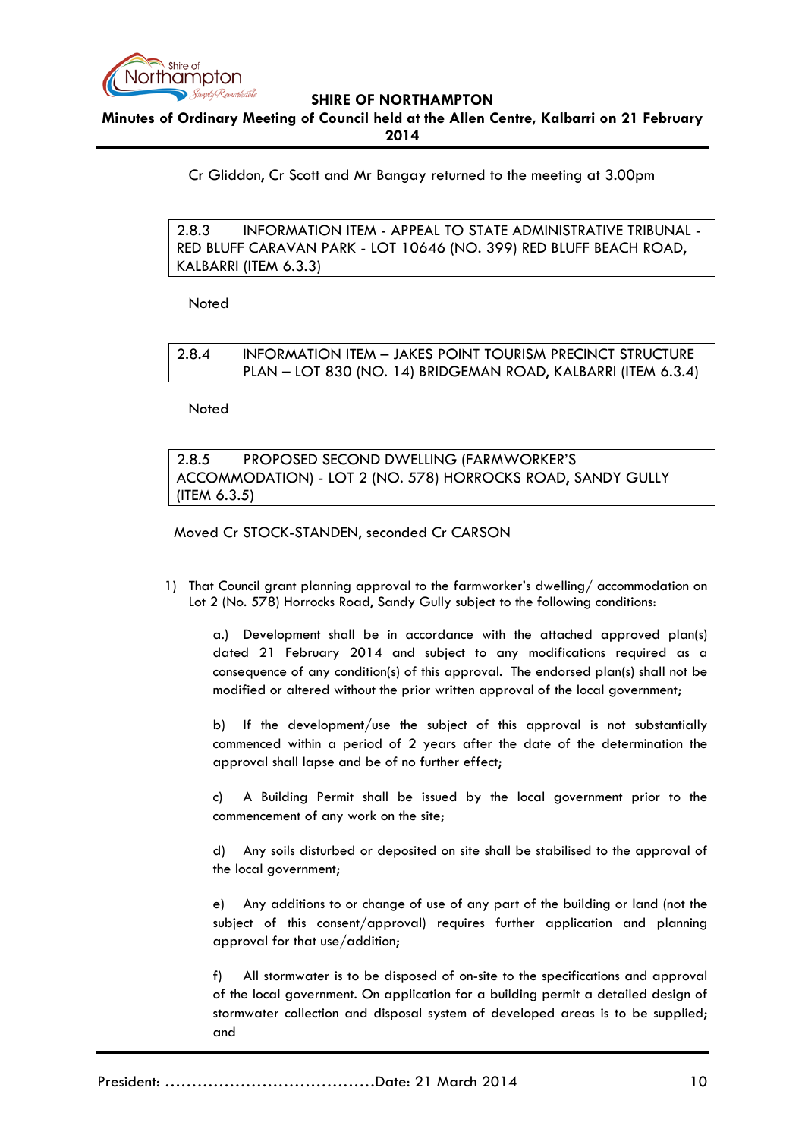

**Minutes of Ordinary Meeting of Council held at the Allen Centre, Kalbarri on 21 February 2014**

Cr Gliddon, Cr Scott and Mr Bangay returned to the meeting at 3.00pm

<span id="page-9-0"></span>2.8.3 INFORMATION ITEM - APPEAL TO STATE ADMINISTRATIVE TRIBUNAL - RED BLUFF CARAVAN PARK - LOT 10646 (NO. 399) RED BLUFF BEACH ROAD, KALBARRI (ITEM 6.3.3)

Noted

<span id="page-9-1"></span>2.8.4 INFORMATION ITEM – JAKES POINT TOURISM PRECINCT STRUCTURE PLAN – LOT 830 (NO. 14) BRIDGEMAN ROAD, KALBARRI (ITEM 6.3.4)

Noted

<span id="page-9-2"></span>2.8.5 PROPOSED SECOND DWELLING (FARMWORKER'S ACCOMMODATION) - LOT 2 (NO. 578) HORROCKS ROAD, SANDY GULLY (ITEM 6.3.5)

Moved Cr STOCK-STANDEN, seconded Cr CARSON

1) That Council grant planning approval to the farmworker's dwelling/ accommodation on Lot 2 (No. 578) Horrocks Road, Sandy Gully subject to the following conditions:

a.) Development shall be in accordance with the attached approved plan(s) dated 21 February 2014 and subject to any modifications required as a consequence of any condition(s) of this approval. The endorsed plan(s) shall not be modified or altered without the prior written approval of the local government;

b) If the development/use the subject of this approval is not substantially commenced within a period of 2 years after the date of the determination the approval shall lapse and be of no further effect;

c) A Building Permit shall be issued by the local government prior to the commencement of any work on the site;

d) Any soils disturbed or deposited on site shall be stabilised to the approval of the local government;

e) Any additions to or change of use of any part of the building or land (not the subject of this consent/approval) requires further application and planning approval for that use/addition;

f) All stormwater is to be disposed of on-site to the specifications and approval of the local government. On application for a building permit a detailed design of stormwater collection and disposal system of developed areas is to be supplied; and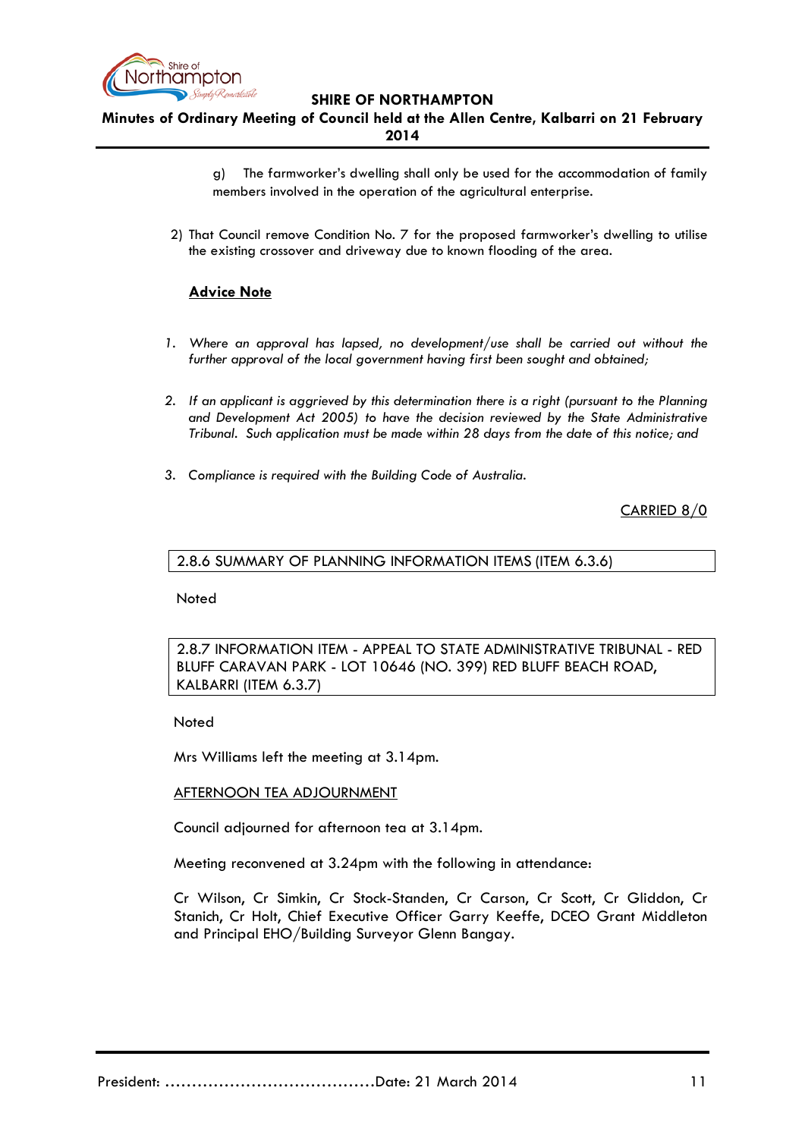

**Minutes of Ordinary Meeting of Council held at the Allen Centre, Kalbarri on 21 February 2014**

> g) The farmworker's dwelling shall only be used for the accommodation of family members involved in the operation of the agricultural enterprise.

2) That Council remove Condition No. 7 for the proposed farmworker's dwelling to utilise the existing crossover and driveway due to known flooding of the area.

## **Advice Note**

- *1. Where an approval has lapsed, no development/use shall be carried out without the further approval of the local government having first been sought and obtained;*
- *2. If an applicant is aggrieved by this determination there is a right (pursuant to the Planning and Development Act 2005) to have the decision reviewed by the State Administrative Tribunal. Such application must be made within 28 days from the date of this notice; and*
- *3. Compliance is required with the Building Code of Australia.*

CARRIED 8/0

#### <span id="page-10-0"></span>2.8.6 SUMMARY OF PLANNING INFORMATION ITEMS (ITEM 6.3.6)

Noted

# <span id="page-10-1"></span>2.8.7 INFORMATION ITEM - APPEAL TO STATE ADMINISTRATIVE TRIBUNAL - RED BLUFF CARAVAN PARK - LOT 10646 (NO. 399) RED BLUFF BEACH ROAD, KALBARRI (ITEM 6.3.7)

Noted

Mrs Williams left the meeting at 3.14pm.

### AFTERNOON TEA ADJOURNMENT

Council adjourned for afternoon tea at 3.14pm.

Meeting reconvened at 3.24pm with the following in attendance:

Cr Wilson, Cr Simkin, Cr Stock-Standen, Cr Carson, Cr Scott, Cr Gliddon, Cr Stanich, Cr Holt, Chief Executive Officer Garry Keeffe, DCEO Grant Middleton and Principal EHO/Building Surveyor Glenn Bangay.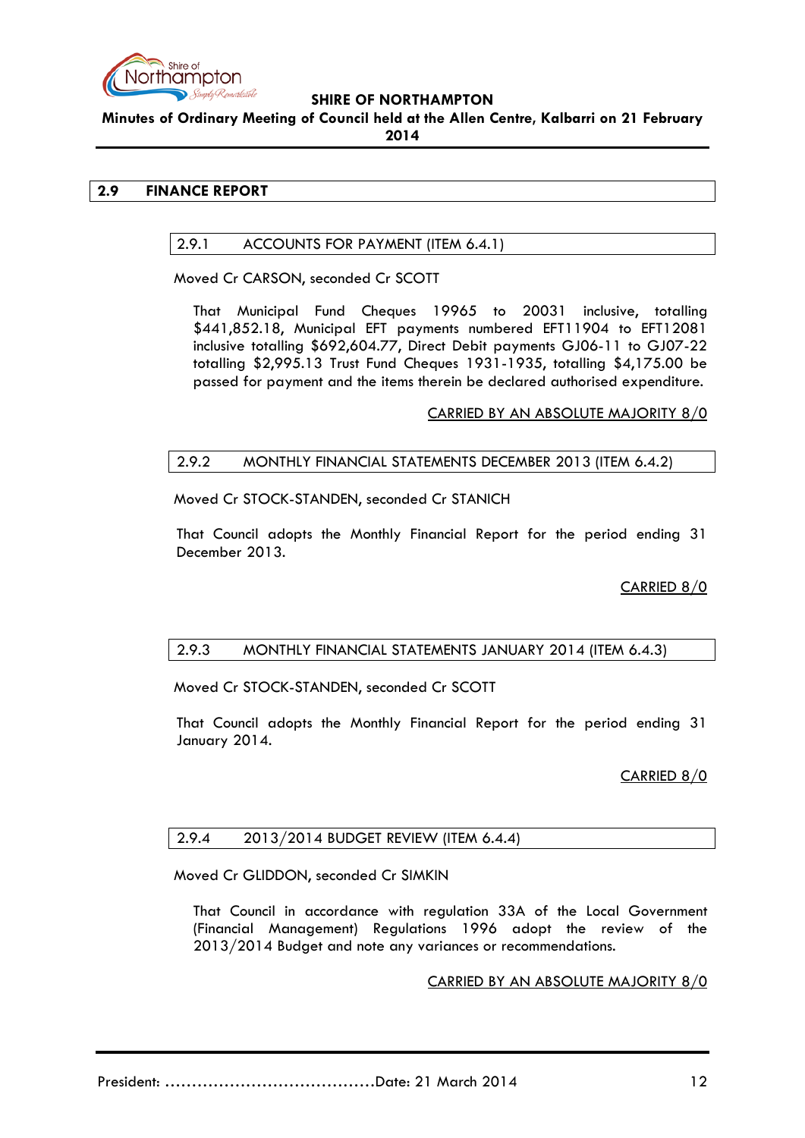

**Minutes of Ordinary Meeting of Council held at the Allen Centre, Kalbarri on 21 February 2014**

# <span id="page-11-1"></span><span id="page-11-0"></span>**2.9 FINANCE REPORT**

# 2.9.1 ACCOUNTS FOR PAYMENT (ITEM 6.4.1)

Moved Cr CARSON, seconded Cr SCOTT

That Municipal Fund Cheques 19965 to 20031 inclusive, totalling \$441,852.18, Municipal EFT payments numbered EFT11904 to EFT12081 inclusive totalling \$692,604.77, Direct Debit payments GJ06-11 to GJ07-22 totalling \$2,995.13 Trust Fund Cheques 1931-1935, totalling \$4,175.00 be passed for payment and the items therein be declared authorised expenditure.

CARRIED BY AN ABSOLUTE MAJORITY 8/0

# <span id="page-11-2"></span>2.9.2 MONTHLY FINANCIAL STATEMENTS DECEMBER 2013 (ITEM 6.4.2)

Moved Cr STOCK-STANDEN, seconded Cr STANICH

That Council adopts the Monthly Financial Report for the period ending 31 December 2013.

CARRIED 8/0

# <span id="page-11-3"></span>2.9.3 MONTHLY FINANCIAL STATEMENTS JANUARY 2014 (ITEM 6.4.3)

Moved Cr STOCK-STANDEN, seconded Cr SCOTT

That Council adopts the Monthly Financial Report for the period ending 31 January 2014.

CARRIED 8/0

# <span id="page-11-4"></span>2.9.4 2013/2014 BUDGET REVIEW (ITEM 6.4.4)

Moved Cr GLIDDON, seconded Cr SIMKIN

That Council in accordance with regulation 33A of the Local Government (Financial Management) Regulations 1996 adopt the review of the 2013/2014 Budget and note any variances or recommendations.

CARRIED BY AN ABSOLUTE MAJORITY 8/0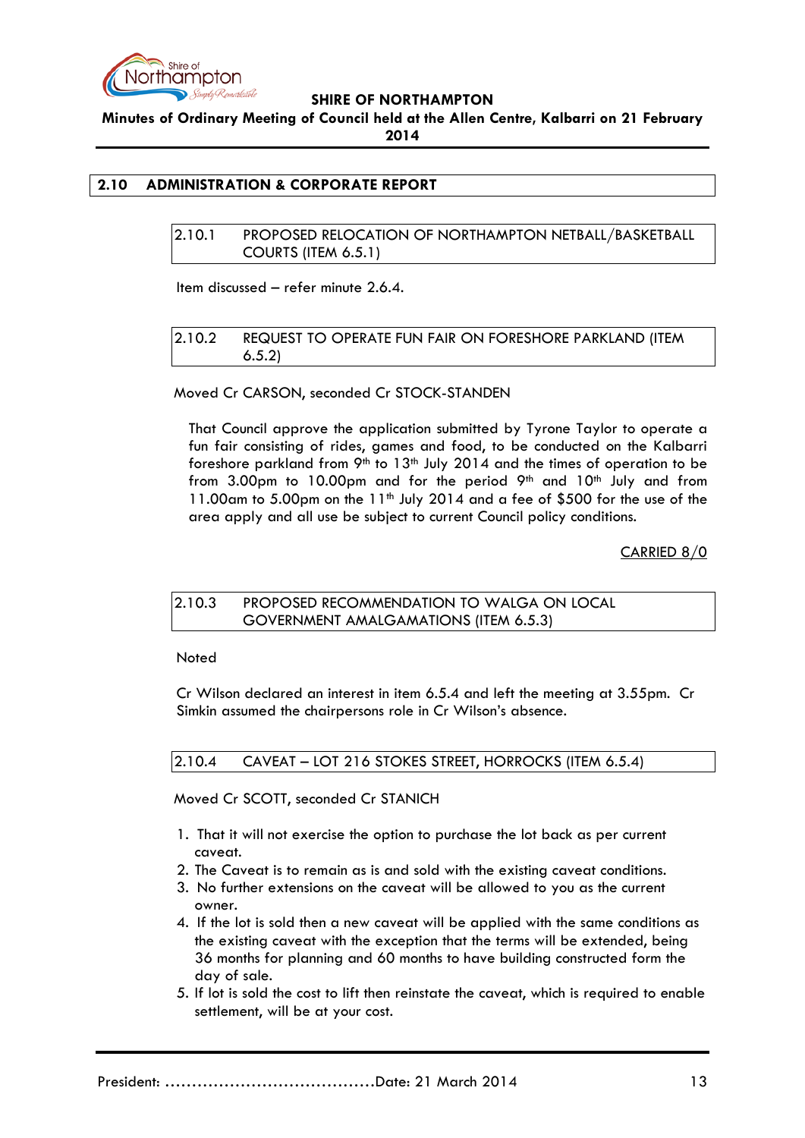

**Minutes of Ordinary Meeting of Council held at the Allen Centre, Kalbarri on 21 February 2014**

# <span id="page-12-1"></span><span id="page-12-0"></span>**2.10 ADMINISTRATION & CORPORATE REPORT**

#### 2.10.1 PROPOSED RELOCATION OF NORTHAMPTON NETBALL/BASKETBALL COURTS (ITEM 6.5.1)

Item discussed – refer minute 2.6.4.

## <span id="page-12-2"></span>2.10.2 REQUEST TO OPERATE FUN FAIR ON FORESHORE PARKLAND (ITEM 6.5.2)

## Moved Cr CARSON, seconded Cr STOCK-STANDEN

That Council approve the application submitted by Tyrone Taylor to operate a fun fair consisting of rides, games and food, to be conducted on the Kalbarri foreshore parkland from  $9<sup>th</sup>$  to 13<sup>th</sup> July 2014 and the times of operation to be from 3.00pm to 10.00pm and for the period  $9<sup>th</sup>$  and  $10<sup>th</sup>$  July and from  $11.00$ am to 5.00pm on the  $11<sup>th</sup>$  July 2014 and a fee of \$500 for the use of the area apply and all use be subject to current Council policy conditions.

CARRIED 8/0

### <span id="page-12-3"></span>2.10.3 PROPOSED RECOMMENDATION TO WALGA ON LOCAL GOVERNMENT AMALGAMATIONS (ITEM 6.5.3)

Noted

Cr Wilson declared an interest in item 6.5.4 and left the meeting at 3.55pm. Cr Simkin assumed the chairpersons role in Cr Wilson's absence.

# <span id="page-12-4"></span>2.10.4 CAVEAT – LOT 216 STOKES STREET, HORROCKS (ITEM 6.5.4)

Moved Cr SCOTT, seconded Cr STANICH

- 1. That it will not exercise the option to purchase the lot back as per current caveat.
- 2. The Caveat is to remain as is and sold with the existing caveat conditions.
- 3. No further extensions on the caveat will be allowed to you as the current owner.
- 4. If the lot is sold then a new caveat will be applied with the same conditions as the existing caveat with the exception that the terms will be extended, being 36 months for planning and 60 months to have building constructed form the day of sale.
- 5. If lot is sold the cost to lift then reinstate the caveat, which is required to enable settlement, will be at your cost.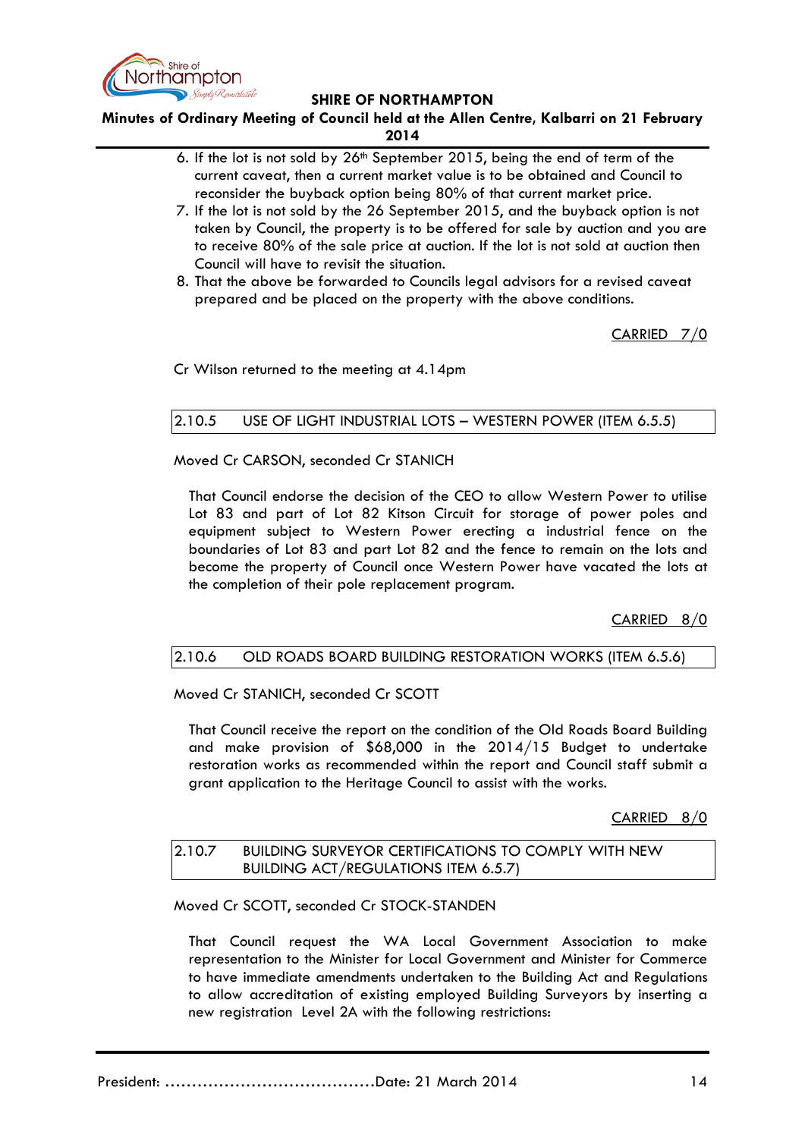

**Minutes of Ordinary Meeting of Council held at the Allen Centre, Kalbarri on 21 February** 

- **2014**
- 6. If the lot is not sold by  $26<sup>th</sup>$  September 2015, being the end of term of the current caveat, then a current market value is to be obtained and Council to reconsider the buyback option being 80% of that current market price.
- 7. If the lot is not sold by the 26 September 2015, and the buyback option is not taken by Council, the property is to be offered for sale by auction and you are to receive 80% of the sale price at auction. If the lot is not sold at auction then Council will have to revisit the situation.
- 8. That the above be forwarded to Councils legal advisors for a revised caveat prepared and be placed on the property with the above conditions.

CARRIED 7/0

Cr Wilson returned to the meeting at 4.14pm

# <span id="page-13-0"></span>2.10.5 USE OF LIGHT INDUSTRIAL LOTS – WESTERN POWER (ITEM 6.5.5)

Moved Cr CARSON, seconded Cr STANICH

That Council endorse the decision of the CEO to allow Western Power to utilise Lot 83 and part of Lot 82 Kitson Circuit for storage of power poles and equipment subject to Western Power erecting a industrial fence on the boundaries of Lot 83 and part Lot 82 and the fence to remain on the lots and become the property of Council once Western Power have vacated the lots at the completion of their pole replacement program.

CARRIED 8/0

# <span id="page-13-1"></span>2.10.6 OLD ROADS BOARD BUILDING RESTORATION WORKS (ITEM 6.5.6)

Moved Cr STANICH, seconded Cr SCOTT

That Council receive the report on the condition of the Old Roads Board Building and make provision of \$68,000 in the 2014/15 Budget to undertake restoration works as recommended within the report and Council staff submit a grant application to the Heritage Council to assist with the works.

CARRIED 8/0

### <span id="page-13-2"></span>2.10.7 BUILDING SURVEYOR CERTIFICATIONS TO COMPLY WITH NEW BUILDING ACT/REGULATIONS ITEM 6.5.7)

Moved Cr SCOTT, seconded Cr STOCK-STANDEN

That Council request the WA Local Government Association to make representation to the Minister for Local Government and Minister for Commerce to have immediate amendments undertaken to the Building Act and Regulations to allow accreditation of existing employed Building Surveyors by inserting a new registration Level 2A with the following restrictions: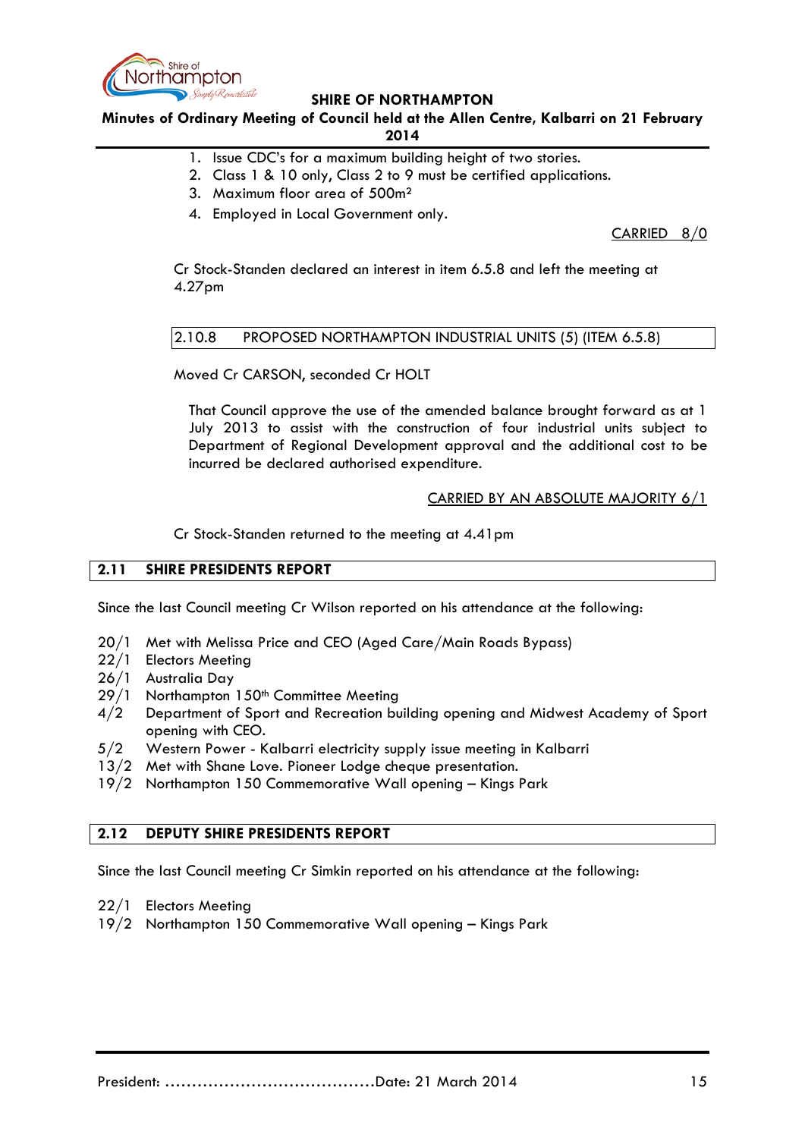

**Minutes of Ordinary Meeting of Council held at the Allen Centre, Kalbarri on 21 February 2014**

- 1. Issue CDC's for a maximum building height of two stories.
- 2. Class 1 & 10 only, Class 2 to 9 must be certified applications.
- 3. Maximum floor area of 500m²
- 4. Employed in Local Government only.

CARRIED 8/0

Cr Stock-Standen declared an interest in item 6.5.8 and left the meeting at 4.27pm

## <span id="page-14-0"></span>2.10.8 PROPOSED NORTHAMPTON INDUSTRIAL UNITS (5) (ITEM 6.5.8)

Moved Cr CARSON, seconded Cr HOLT

That Council approve the use of the amended balance brought forward as at 1 July 2013 to assist with the construction of four industrial units subject to Department of Regional Development approval and the additional cost to be incurred be declared authorised expenditure.

## CARRIED BY AN ABSOLUTE MAJORITY 6/1

Cr Stock-Standen returned to the meeting at 4.41pm

# <span id="page-14-1"></span>**2.11 SHIRE PRESIDENTS REPORT**

Since the last Council meeting Cr Wilson reported on his attendance at the following:

- 20/1 Met with Melissa Price and CEO (Aged Care/Main Roads Bypass)
- 22/1 Electors Meeting
- 26/1 Australia Day
- 29/1 Northampton 150<sup>th</sup> Committee Meeting
- 4/2 Department of Sport and Recreation building opening and Midwest Academy of Sport opening with CEO.
- 5/2 Western Power Kalbarri electricity supply issue meeting in Kalbarri
- 13/2 Met with Shane Love. Pioneer Lodge cheque presentation.
- 19/2 Northampton 150 Commemorative Wall opening Kings Park

# <span id="page-14-2"></span>**2.12 DEPUTY SHIRE PRESIDENTS REPORT**

Since the last Council meeting Cr Simkin reported on his attendance at the following:

- 22/1 Electors Meeting
- 19/2 Northampton 150 Commemorative Wall opening Kings Park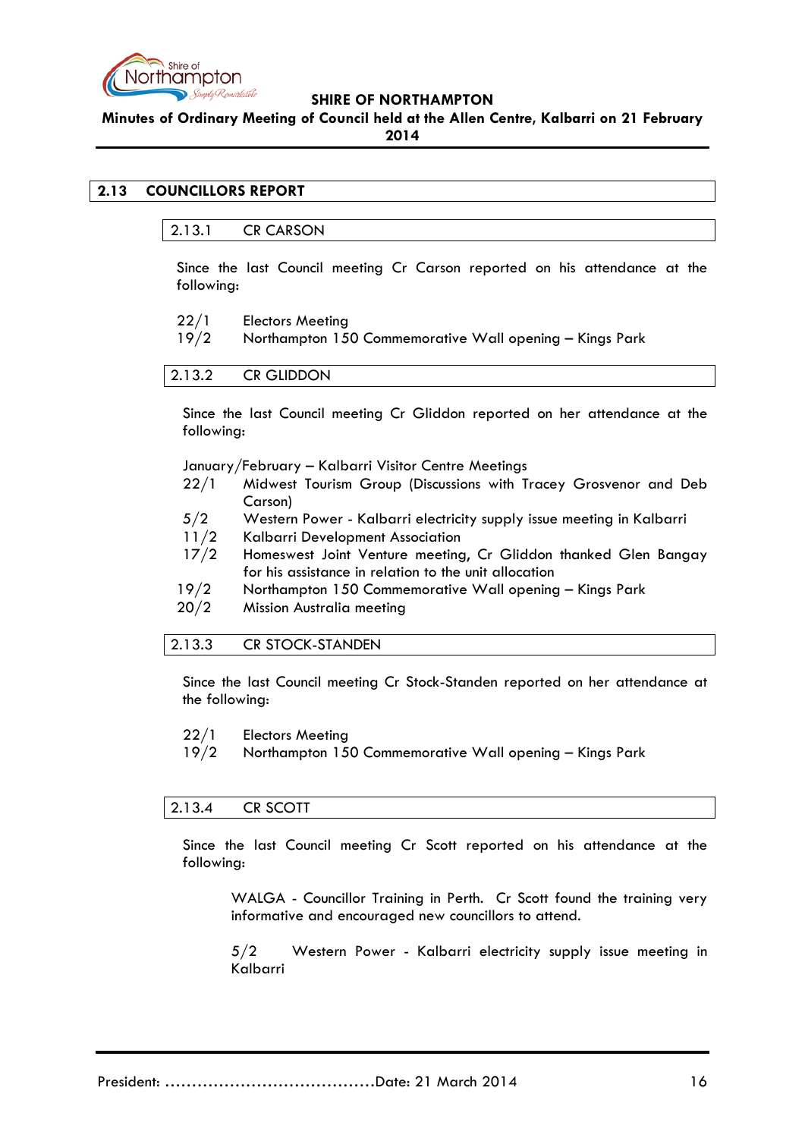

**Minutes of Ordinary Meeting of Council held at the Allen Centre, Kalbarri on 21 February** 

**2014**

# <span id="page-15-1"></span><span id="page-15-0"></span>**2.13 COUNCILLORS REPORT**

### 2.13.1 CR CARSON

Since the last Council meeting Cr Carson reported on his attendance at the following:

- 22/1 Electors Meeting
- 19/2 Northampton 150 Commemorative Wall opening Kings Park

<span id="page-15-2"></span>

Since the last Council meeting Cr Gliddon reported on her attendance at the following:

#### January/February – Kalbarri Visitor Centre Meetings

- 22/1 Midwest Tourism Group (Discussions with Tracey Grosvenor and Deb Carson)
- 5/2 Western Power Kalbarri electricity supply issue meeting in Kalbarri
- 11/2 Kalbarri Development Association
- 17/2 Homeswest Joint Venture meeting, Cr Gliddon thanked Glen Bangay for his assistance in relation to the unit allocation
- 19/2 Northampton 150 Commemorative Wall opening Kings Park
- 20/2 Mission Australia meeting

### <span id="page-15-3"></span>2.13.3 CR STOCK-STANDEN

Since the last Council meeting Cr Stock-Standen reported on her attendance at the following:

- 22/1 Electors Meeting
- 19/2 Northampton 150 Commemorative Wall opening Kings Park

### <span id="page-15-4"></span>2.13.4 CR SCOTT

Since the last Council meeting Cr Scott reported on his attendance at the following:

WALGA - Councillor Training in Perth. Cr Scott found the training very informative and encouraged new councillors to attend.

5/2 Western Power - Kalbarri electricity supply issue meeting in Kalbarri